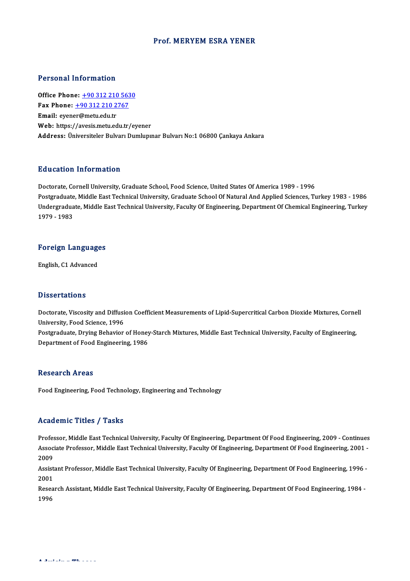### Prof.MERYEMESRA YENER

### Personal Information

**Personal Information<br>Office Phone: +90 312 210 5630<br>Fax Phone: +90 312 210 2767** Fax Phone: <u>+90 312 210 563</u><br>Fax Phone: <u>+90 312 210 2767</u><br>Fmail: evener@mety.edu.tr Office Phone: <u>+90 312 210</u><br>Fax Phone: <u>+90 312 210 2</u><br>Email: eyen[er@metu.edu.tr](tel:+90 312 210 2767) Fax Phone:  $\pm$ 90 312 210 2767<br>Email: eyener@metu.edu.tr<br>Web: https://avesis.metu.edu.tr/evener Address: Üniversiteler Bulvarı Dumlupınar Bulvarı No:1 06800 Çankaya Ankara

### Education Information

Doctorate, Cornell University, Graduate School, Food Science, United States Of America 1989 - 1996 Postgraduate, Middle East Technical University, Graduate School Of Natural And Applied Sciences, Turkey 1983 - 1986 Doctorate, Cornell University, Graduate School, Food Science, United States Of America 1989 - 1996<br>Postgraduate, Middle East Technical University, Graduate School Of Natural And Applied Sciences, Turkey 1983 - 1986<br>Undergr Postgraduate<br>Undergradua<br>1979 - 1983

# 1979-1983<br>Foreign Languages <mark>Foreign Languag</mark><br>English, C1 Advanced

English, C1 Advanced<br>Dissertations

Dissertations<br>Doctorate, Viscosity and Diffusion Coefficient Measurements of Lipid-Supercritical Carbon Dioxide Mixtures, Cornell<br>University, Eaed Science, 1996 Disour cattons<br>Doctorate, Viscosity and Diffusi<br>University, Food Science, 1996<br>Bostareduate, Druing Bobavior Doctorate, Viscosity and Diffusion Coefficient Measurements of Lipid-Supercritical Carbon Dioxide Mixtures, Corne<br>University, Food Science, 1996<br>Postgraduate, Drying Behavior of Honey-Starch Mixtures, Middle East Technical University, Food Science, 1996<br>Postgraduate, Drying Behavior of Honey-Starch Mixtures, Middle East Technical University, Faculty of Engineering,<br>Department of Food Engineering, 1986

### **Research Areas**

Food Engineering, Food Technology, Engineering and Technology

#### Academic Titles / Tasks

Professor, Middle East Technical University, Faculty Of Engineering, Department Of Food Engineering, 2009 - Continues AssociateMic Traces / Tassis<br>Professor, Middle East Technical University, Faculty Of Engineering, Department Of Food Engineering, 2009 - Continues<br>Associate Professor, Middle East Technical University, Faculty Of Engineeri Profes<br>Assoc<br>2009<br>Assist Associate Professor, Middle East Technical University, Faculty Of Engineering, Department Of Food Engineering, 2001<br>2009<br>Assistant Professor, Middle East Technical University, Faculty Of Engineering, Department Of Food Eng

2009<br>Assistant Professor, Middle East Technical University, Faculty Of Engineering, Department Of Food Engineering, 1996 -<br>2001 Assistant Professor, Middle East Technical University, Faculty Of Engineering, Department Of Food Engineering, 1996<br>2001<br>Research Assistant, Middle East Technical University, Faculty Of Engineering, Department Of Food Engi

2001<br>Resea<br>1996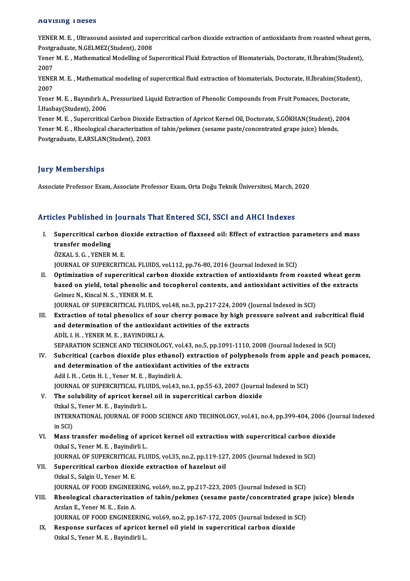#### Advising Theses

AQVISING I NeSes<br>YENER M. E. , Ultrasound assisted and supercritical carbon dioxide extraction of antioxidants from roasted wheat germ,<br>Postsraduate N.CELMEZ(Student), 2008 POSTAGRADUS<br>POSTGRADUSE, VERTIGRADUS ASSISTED and Sup<br>Postgraduate, N.GELMEZ(Student), 2008<br>Vener M. E., Mathematical Modelling of St YENER M. E. , Ultrasound assisted and supercritical carbon dioxide extraction of antioxidants from roasted wheat ger<br>Postgraduate, N.GELMEZ(Student), 2008<br>Yener M. E. , Mathematical Modelling of Supercritical Fluid Extract

Postgraduate, N.GELMEZ(Student), 2008<br>Yener M. E. , Mathematical Modelling of Supercritical Fluid Extraction of Biomaterials, Doctorate, H.İbrahim(Student),<br>2007 Yener M. E. , Mathematical Modelling of Supercritical Fluid Extraction of Biomaterials, Doctorate, H.İbrahim(Student),<br>2007<br>YENER M. E. , Mathematical modeling of supercritical fluid extraction of biomaterials, Doctorate,

2007<br>YENEI<br>2007<br><sup>Yonor</sup> YENER M. E. , Mathematical modeling of supercritical fluid extraction of biomaterials, Doctorate, H.İbrahim(Stude<br>2007<br>Yener M. E. , Bayındırlı A., Pressurized Liquid Extraction of Phenolic Compounds from Fruit Pomaces, Do

2007<br>Yener M. E. , Bayındırlı A., Pressurized Liquid Extraction of Phenolic Compounds from Fruit Pomaces, Doctorate,<br>İ.Hasbay(Student), 2006 Yener M. E. , Bayındırlı A., Pressurized Liquid Extraction of Phenolic Compounds from Fruit Pomaces, Doctorate,<br>İ.Hasbay(Student), 2006<br>Yener M. E. , Supercritical Carbon Dioxide Extraction of Apricot Kernel Oil, Doctorate

İ.Hasbay(Student), 2006<br>Yener M. E. , Supercritical Carbon Dioxide Extraction of Apricot Kernel Oil, Doctorate, S.GÖKHAN(Student), 2<br>Yener M. E. , Rheological characterization of tahin/pekmez (sesame paste/concentrated gra Yener M. E. , Supercritical Carbon Dioxide<br>Yener M. E. , Rheological characterization<br>Postgraduate, E.ARSLAN(Student), 2003 Postgraduate, E.ARSLAN(Student), 2003<br>Jury Memberships

Associate Professor Exam, Associate Professor Exam, Orta Doğu Teknik Üniversitesi, March, 2020

### Articles Published in Journals That Entered SCI, SSCI and AHCI Indexes

rticles Published in Journals That Entered SCI, SSCI and AHCI Indexes<br>I. Supercritical carbon dioxide extraction of flaxseed oil: Effect of extraction parameters and mass<br>transfor modeling stes a distinction<br>Supercritical carbo<br>transfer modeling<br>ÖZKAL S.C. VENED transfer modeling<br>ÖZKAL S. G. , YENER M. E.

JOURNAL OF SUPERCRITICAL FLUIDS, vol.112, pp.76-80, 2016 (Journal Indexed in SCI)

ÖZKAL S. G. , YENER M. E.<br>JOURNAL OF SUPERCRITICAL FLUIDS, vol.112, pp.76-80, 2016 (Journal Indexed in SCI)<br>II. Optimization of supercritical carbon dioxide extraction of antioxidants from roasted wheat germ<br>hased on viald JOURNAL OF SUPERCRITICAL FLUIDS, vol.112, pp.76-80, 2016 (Journal Indexed in SCI)<br>Optimization of supercritical carbon dioxide extraction of antioxidants from roasted wheat germ<br>based on yield, total phenolic and tocophero based on yield, total phenolic and tocopherol contents, and antioxidant activities of the extracts Gelmez N., Kincal N. S., YENER M. E. based on yield, total phenolic and tocopherol contents, and antioxidant activities of<br>Gelmez N., Kincal N. S. , YENER M. E.<br>JOURNAL OF SUPERCRITICAL FLUIDS, vol.48, no.3, pp.217-224, 2009 (Journal Indexed in SCI)<br>Extractio

- III. Extraction of total phenolics of sour cherry pomace by high pressure solvent and subcritical fluid<br>and determination of the antioxidant activities of the extracts JOURNAL OF SUPERCRITICAL FLUIDS, vol.48, no.3, pp.217-224, 2009 (<br>Extraction of total phenolics of sour cherry pomace by high pi<br>and determination of the antioxidant activities of the extracts<br>ADULLH VENER M E PAYINDIBLIA ADİL I.H. ,YENERM.E. ,BAYINDIRLIA. and determination of the antioxidant activities of the extracts<br>ADİL I. H. , YENER M. E. , BAYINDIRLI A.<br>SEPARATION SCIENCE AND TECHNOLOGY, vol.43, no.5, pp.1091-1110, 2008 (Journal Indexed in SCI)<br>Suberities! (carbon diox
- IV. Subcritical (carbon dioxide plus ethanol) extraction of polyphenols fromapple and peach pomaces, SEPARATION SCIENCE AND TECHNOLOGY, vol.43, no.5, pp.1091-1110,<br>Subcritical (carbon dioxide plus ethanol) extraction of polyph<br>and determination of the antioxidant activities of the extracts<br>Adil H. Cetin H.J. Yoner M.E. Pe and determination of the antioxidant activities of the extracts Adil I. H., Cetin H. I., Yener M. E., Bayindirli A. JOURNAL OF SUPERCRITICAL FLUIDS, vol.43, no.1, pp.55-63, 2007 (Journal Indexed in SCI) Adil I. H., Cetin H. I., Yener M. E., Bayindirli A.<br>JOURNAL OF SUPERCRITICAL FLUIDS, vol.43, no.1, pp.55-63, 2007 (Journal<br>V. The solubility of apricot kernel oil in supercritical carbon dioxide<br>Orkal S. Voner M. E., Bovin

### **JOURNAL OF SUPERCRITICAL FLU<br>The solubility of apricot kerne<br>Ozkal S., Yener M. E. , Bayindirli L.<br>INTERNATIONAL JOURNAL OF FO** INTERNATIONAL JOURNAL OF FOOD SCIENCE AND TECHNOLOGY, vol.41, no.4, pp.399-404, 2006 (Journal Indexed<br>in SCI) Ozkal S., Yener M. E., Bayindirli L.

INTERNATIONAL JOURNAL OF FOOD SCIENCE AND TECHNOLOGY, vol.41, no.4, pp.399-404, 2006 (Journ SCI)<br>in SCI)<br>VI. Mass transfer modeling of apricot kernel oil extraction with supercritical carbon dioxide<br>Orkel S. Vaper M. E. Pe in SCI)<br>Mass transfer modeling of apı<br>Ozkal S., Yener M. E. , Bayindirli L.<br>JOUPMAL OF SUPERCRITICAL ELL Mass transfer modeling of apricot kernel oil extraction with supercritical carbon di<br>Ozkal S., Yener M. E. , Bayindirli L.<br>JOURNAL OF SUPERCRITICAL FLUIDS, vol.35, no.2, pp.119-127, 2005 (Journal Indexed in SCI)<br>Supercriti

### Ozkal S., Yener M. E. , Bayindirli L.<br>JOURNAL OF SUPERCRITICAL FLUIDS, vol.35, no.2, pp.119-127<br>VII. Supercritical carbon dioxide extraction of hazelnut oil<br>Ozkal S., Salgin U., Yener M. E. **JOURNAL OF SUPERCRITICAL<br>Supercritical carbon dioxi<br>Ozkal S., Salgin U., Yener M. E.<br>JOUPNAL OF FOOD ENCINEE** Supercritical carbon dioxide extraction of hazelnut oil<br>Ozkal S., Salgin U., Yener M. E.<br>JOURNAL OF FOOD ENGINEERING, vol.69, no.2, pp.217-223, 2005 (Journal Indexed in SCI)<br>Pheological characterization of tabin (polymas ( Ozkal S., Salgin U., Yener M. E.<br>JOURNAL OF FOOD ENGINEERING, vol.69, no.2, pp.217-223, 2005 (Journal Indexed in SCI)<br>VIII. Rheological characterization of tahin/pekmez (sesame paste/concentrated grape juice) blends<br>Arelan

# **JOURNAL OF FOOD ENGINEER<br>Rheological characterizati<br>Arslan E., Yener M. E. , Esin A.<br>JOUPNAL OF FOOD ENGINEER** Rheological characterization of tahin/pekmez (sesame paste/concentrated grap<br>Arslan E., Yener M. E. , Esin A.<br>JOURNAL OF FOOD ENGINEERING, vol.69, no.2, pp.167-172, 2005 (Journal Indexed in SCI)<br>Respects surfaces of annies

Arslan E., Yener M. E., Esin A.<br>JOURNAL OF FOOD ENGINEERING, vol.69, no.2, pp.167-172, 2005 (Journal Indexed in S<br>IX. Response surfaces of apricot kernel oil yield in supercritical carbon dioxide<br>Orkal S. Yoner M. E., Povi JOURNAL OF FOOD ENGINEERING<br>Response surfaces of apricot<br>Ozkal S., Yener M. E. , Bayindirli L.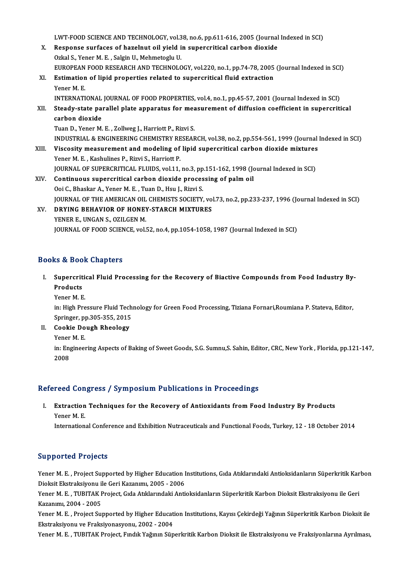LWT-FOOD SCIENCE AND TECHNOLOGY, vol.38, no.6, pp.611-616, 2005 (Journal Indexed in SCI)<br>Respects surfaces of baralnut oil vield in supersuitical sarbon diavide

- LWT-FOOD SCIENCE AND TECHNOLOGY, vol.38, no.6, pp.611-616, 2005 (Journal<br>X. Response surfaces of hazelnut oil yield in supercritical carbon dioxide<br>Qrkal S. Voner M. E. Sekin U. Mehmetecky U. LWT-FOOD SCIENCE AND TECHNOLOGY, vol.3<br>Response surfaces of hazelnut oil yield i<br>Ozkal S., Yener M. E. , Salgin U., Mehmetoglu U.<br>FUROPEAN FOOD RESEARCH AND TECHNOLO Response surfaces of hazelnut oil yield in supercritical carbon dioxide<br>Ozkal S., Yener M. E. , Salgin U., Mehmetoglu U.<br>EUROPEAN FOOD RESEARCH AND TECHNOLOGY, vol.220, no.1, pp.74-78, 2005 (Journal Indexed in SCI)<br>Estimat Ozkal S., Yener M. E. , Salgin U., Mehmetoglu U.<br>EUROPEAN FOOD RESEARCH AND TECHNOLOGY, vol.220, no.1, pp.74-78, 2005<br>XI. Estimation of lipid properties related to supercritical fluid extraction<br>Yener M. E. EUROPEAN<br>Estimation<br>Yener M. E.<br>INTERNATI
- Estimation of lipid properties related to supercritical fluid extraction<br>Yener M. E.<br>INTERNATIONAL JOURNAL OF FOOD PROPERTIES, vol.4, no.1, pp.45-57, 2001 (Journal Indexed in SCI)<br>Stoody state parallel plate apparatus for Yener M. E.<br>INTERNATIONAL JOURNAL OF FOOD PROPERTIES, vol.4, no.1, pp.45-57, 2001 (Journal Indexed in SCI)<br>XII. Steady-state parallel plate apparatus for measurement of diffusion coefficient in supercritical<br>carbon diavide INTERNATIONAL<br>Steady-state pa<br>carbon dioxide<br>Tuan D. Yoner M Steady-state parallel plate apparatus for mea<br>carbon dioxide<br>Tuan D., Yener M. E. , Zollweg J., Harriott P., Rizvi S.<br>INDUSTRIAL & ENCINEERING GUEMISTRY RESEAL carbon dioxide<br>Tuan D., Yener M. E. , Zollweg J., Harriott P., Rizvi S.<br>INDUSTRIAL & ENGINEERING CHEMISTRY RESEARCH, vol.38, no.2, pp.554-561, 1999 (Journal Indexed in SCI)<br>Viscosity measurement and modeling of linid super Tuan D., Yener M. E. , Zollweg J., Harriott P., Rizvi S.<br>INDUSTRIAL & ENGINEERING CHEMISTRY RESEARCH, vol.38, no.2, pp.554-561, 1999 (Journal<br>XIII. Viscosity measurement and modeling of lipid supercritical carbon dioxide m INDUSTRIAL & ENGINEERING CHEMISTRY RE<br>Viscosity measurement and modeling of<br>Yener M. E. , Kashulines P., Rizvi S., Harriott P.<br>JOUPMAL OF SUPERCRITICAL ELUIDS vol 11 Viscosity measurement and modeling of lipid supercritical carbon dioxide mixtures<br>Yener M. E. , Kashulines P., Rizvi S., Harriott P.<br>JOURNAL OF SUPERCRITICAL FLUIDS, vol.11, no.3, pp.151-162, 1998 (Journal Indexed in SCI)<br> Yener M. E., Kashulines P., Rizvi S., Harriott P.<br>JOURNAL OF SUPERCRITICAL FLUIDS, vol.11, no.3, pp.151-162, 1998 (Journal carbon dioxide processing of palm oil<br>Ooi C., Bhaskar A., Yener M. E., Tuan D., Hsu J., Rizvi S. JOURNAL OF SUPERCRITICAL FLUIDS, vol.11, no.3, pp<br>Continuous supercritical carbon dioxide proces<br>Ooi C., Bhaskar A., Yener M. E. , Tuan D., Hsu J., Rizvi S.<br>JOURNAL OF THE AMERICAN OU CHEMISTS SOCIETY
- Continuous supercritical carbon dioxide processing of palm oil<br>Ooi C., Bhaskar A., Yener M. E. , Tuan D., Hsu J., Rizvi S.<br>JOURNAL OF THE AMERICAN OIL CHEMISTS SOCIETY, vol.73, no.2, pp.233-237, 1996 (Journal Indexed in SC XV. DRYING BEHAVIOR OF HONEY-STARCH MIXTURES<br>YENER E., UNGAN S., OZILGEN M. **JOURNAL OF THE AMERICAN OIL<br>DRYING BEHAVIOR OF HONEY<br>YENER E., UNGAN S., OZILGEN M.**<br>JOURNAL OF FOOR SCIENCE ........

JOURNAL OF FOOD SCIENCE, vol.52, no.4, pp.1054-1058, 1987 (Journal Indexed in SCI)

### Books&Book Chapters

ooks & Book Chapters<br>I. Supercritical Fluid Processing for the Recovery of Biactive Compounds from Food Industry By-<br>Readvate su de 200<br>Supercrit<br>Products<br><sup>Vonor M. E</sup> Supercriti<mark>e</mark><br>Products<br>Yener M. E.<br>in: High Pro Products<br>Yener M. E.<br>in: High Pressure Fluid Technology for Green Food Processing, Tiziana Fornari,Roumiana P. Stateva, Editor,

Springer,pp.305-355,2015 in: High Pressure Fluid Tech<br>Springer, pp.305-355, 2015<br>II. Cookie Dough Rheology<br>Nonem M F Springer, p<br>**Cookie Do**<br>Yener M. E.<br>in: Engineel

- -

Cookie Dough Rheology<br>Yener M. E.<br>in: Engineering Aspects of Baking of Sweet Goods, S.G. Sumnu,S. Sahin, Editor, CRC, New York , Florida, pp.121-147,<br>2008 Yener<br>in: Eng<br>2008

# 2008<br>Refereed Congress / Symposium Publications in Proceedings

# efereed Congress / Symposium Publications in Proceedings<br>I. Extraction Techniques for the Recovery of Antioxidants from Food Industry By Products<br>Vaner M.E. Feed con<br>Extraction<br>Yener M. E.<br>Internation

Yener M. E.<br>International Conference and Exhibition Nutraceuticals and Functional Foods, Turkey, 12 - 18 October 2014

### Supported Projects

Supported Projects<br>Yener M. E. , Project Supported by Higher Education Institutions, Gıda Atıklarındaki Antioksidanların Süperkritik Karbon<br>Diaksit Flytraksivanu ilə Geri Karanımı 2005–2006 Dupporteu i rojects<br>1999 - Yener M. E. , Project Supported by Higher Education I<br>Dioksit Ekstraksiyonu ile Geri Kazanımı, 2005 - 2006<br>Yener M. E. "TUBITAK Project, Cide Atıklarındaki Anti Yener M. E. , Project Supported by Higher Education Institutions, Gıda Atıklarındaki Antioksidanların Süperkritik Kar<br>Dioksit Ekstraksiyonu ile Geri Kazanımı, 2005 - 2006<br>Yener M. E. , TUBITAK Project, Gıda Atıklarındaki A

Dioksit Ekstraksiyonu il<br>Yener M. E. , TUBITAK I<br>Kazanımı, 2004 - 2005<br>Yener M. E. , Breject Su Yener M. E. , TUBITAK Project, Gıda Atıklarındaki Antioksidanların Süperkritik Karbon Dioksit Ekstraksiyonu ile Geri<br>Kazanımı, 2004 - 2005<br>Yener M. E. , Project Supported by Higher Education Institutions, Kayısı Çekirdeği

Kazanımı, 2004 - 2005<br>Yener M. E. , Project Supported by Higher Education Institutions, Kayısı Çekirdeği Yağının Süperkritik Karbon Dioksit ile<br>Ekstraksiyonu ve Fraksiyonasyonu, 2002 - 2004

Yener M. E., TUBITAK Project, Fındık Yağının Süperkritik Karbon Dioksit ile Ekstraksiyonu ve Fraksiyonlarına Ayrılması,